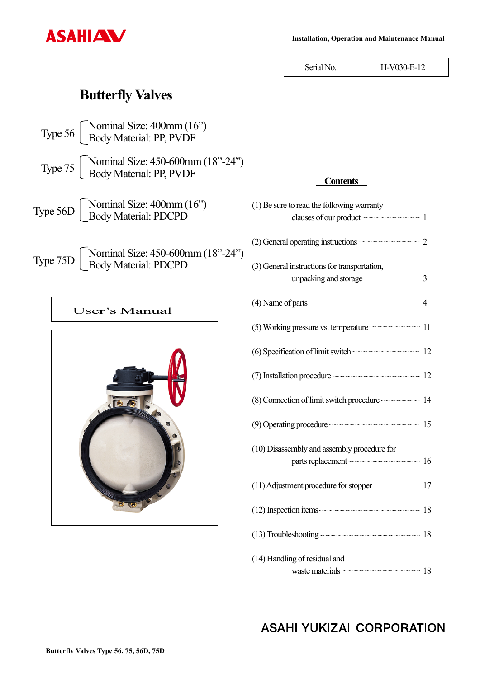

Serial No. <br>H-V030-E-12

# **Butterfly Valves**

| Type 56 $\left[\begin{array}{c}\n\text{Nominal Size: } 400 \text{mm} (16^\circ) \\ \text{Body Material: PP, PVDF}\n\end{array}\right]$ |
|----------------------------------------------------------------------------------------------------------------------------------------|
| Type 75 [Nominal Size: 450-600mm (18"-24")<br>Body Material: PP, PVDF                                                                  |
| Type 56D $\begin{bmatrix} \text{Nominal Size: } 400 \text{mm} (16^{\degree}) \\ \text{Body Material: } \text{PDCPD} \end{bmatrix}$     |
| Type 75D [Nominal Size: 450-600mm (18"-24")<br>Body Material: PDCPD                                                                    |





#### **Contents**

| (1) Be sure to read the following warranty                              |  |
|-------------------------------------------------------------------------|--|
| clauses of our product <b>CONFIDENT</b> 1                               |  |
|                                                                         |  |
| (2) General operating instructions <b>CONSUMER</b> 2                    |  |
|                                                                         |  |
| (3) General instructions for transportation,                            |  |
| unpacking and storage <b>manufacturers</b> 3                            |  |
|                                                                         |  |
| (4) Name of parts <b>CONS</b> (4) Name of parts <b>CONS</b>             |  |
| (5) Working pressure vs. temperature <b>manufacture</b> 11              |  |
|                                                                         |  |
| (6) Specification of limit switch 12                                    |  |
|                                                                         |  |
| (7) Installation procedure 12                                           |  |
|                                                                         |  |
| (8) Connection of limit switch procedure <b>Manufacture</b> 14          |  |
|                                                                         |  |
| (9) Operating procedure <b>CONSUMENT</b> 15                             |  |
| (10) Disassembly and assembly procedure for                             |  |
| parts replacement <b>contract of the COVID-16</b>                       |  |
|                                                                         |  |
| (11) Adjustment procedure for stopper <b>manufacture</b> 17             |  |
|                                                                         |  |
| (12) Inspection items <b>Manufacture 18</b>                             |  |
|                                                                         |  |
| (13) Troubleshooting <b>Construction</b> 18                             |  |
|                                                                         |  |
| (14) Handling of residual and<br>waste materials <b>CONSTRAINING</b> 18 |  |
|                                                                         |  |

## **ASAHI YUKIZAI CORPORATION**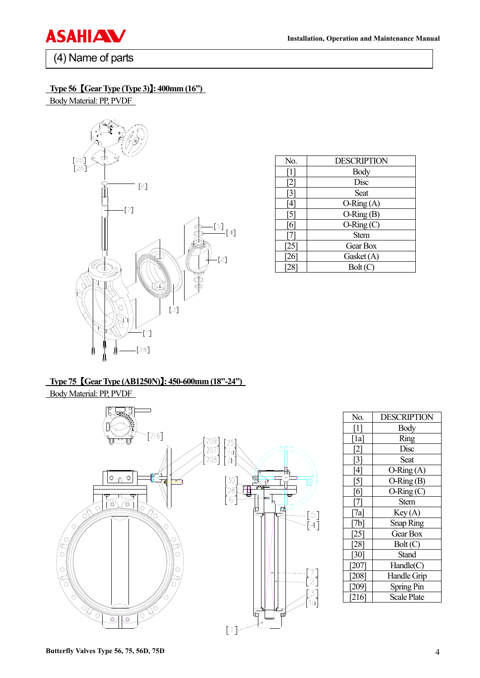

### (4) Name of parts

#### **Type 56** 䛆**Gear Type (Type 3)**䛇**: 400mm (16")**

Body Material: PP, PVDF



| No. | <b>DESCRIPTION</b> |
|-----|--------------------|
|     | Body               |
|     | Disc               |
| 3   | Seat               |
|     | $O-Ring(A)$        |
|     | $O-Ring(B)$        |
| 6   | $O-Ring(C)$        |
|     | <b>Stem</b>        |
| 25  | Gear Box           |
|     | Gasket $(A)$       |
|     | Bolt (C)           |

#### **Type 75** 䛆**Gear Type (AB1250N)**䛇**: 450-600mm (18"-24")**

Body Material: PP, PVDF



| No.                | <b>DESCRIPTION</b> |
|--------------------|--------------------|
|                    | Body               |
| $\lceil a \rceil$  | Ring               |
| 12                 | Disc               |
| 3                  | Seat               |
| 4                  | $O-Ring(A)$        |
| [5]                | $O-Ring(B)$        |
| [6]                | $O-Ring(C)$        |
| 171                | <b>Stem</b>        |
| $\lceil 7a \rceil$ | Key (A)            |
| [7b]               | <b>Snap Ring</b>   |
| [25]               | Gear Box           |
| [28]               | Bolt(C)            |
| $\lceil 30 \rceil$ | <b>Stand</b>       |
| [207]              | Handle(C)          |
| [208]              | Handle Grip        |
| 2091               | Spring Pin         |
| 216                | <b>Scale Plate</b> |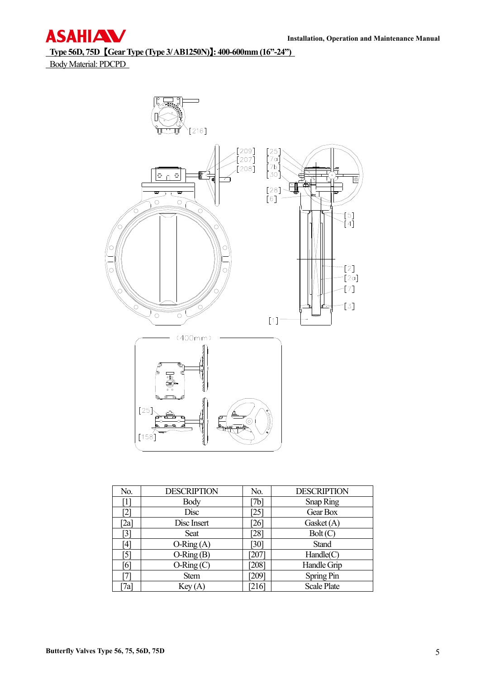

 **Type 56D, 75D (Gear Type (Type 3/ AB1250N) : 400-600mm (16"-24")** 

Body Material: PDCPD



| No.                | <b>DESCRIPTION</b> | No.  | <b>DESCRIPTION</b> |
|--------------------|--------------------|------|--------------------|
|                    | Body               | 7b   | Snap Ring          |
| 21                 | Disc               | 25   | Gear Box           |
| $\lceil 2a \rceil$ | Disc Insert        | 26   | Gasket(A)          |
| $\overline{3}$     | Seat               | [28] | Bolt(C)            |
| [4]                | $O-Ring(A)$        | [30] | <b>Stand</b>       |
| 5]                 | $O-Ring(B)$        | 207  | Handle(C)          |
| [6]                | $O-Ring(C)$        | 2081 | Handle Grip        |
|                    | <b>Stem</b>        | 2091 | Spring Pin         |
| 7a                 | Key(A)             | 216  | <b>Scale Plate</b> |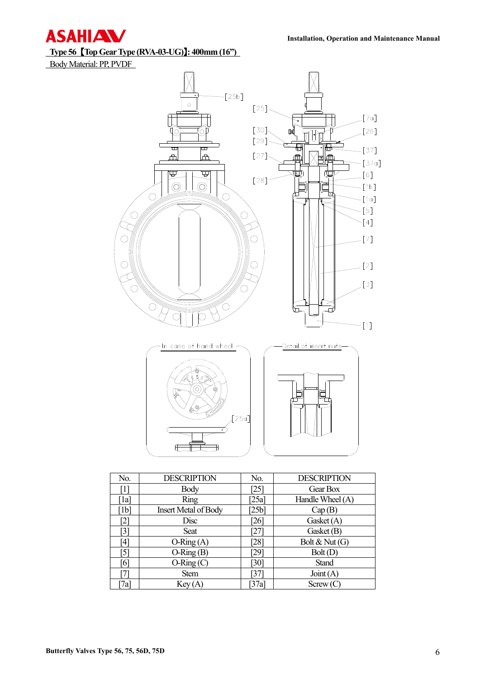

 **Type 56** 䛆**Top Gear Type (RVA-03-UG)**䛇**: 400mm (16")** 

Body Material: PP, PVDF



| No.                | <b>DESCRIPTION</b>   | No.    | <b>DESCRIPTION</b>  |
|--------------------|----------------------|--------|---------------------|
| [1]                | Body                 | $[25]$ | Gear Box            |
| $\lceil 1a \rceil$ | <b>Ring</b>          | [25a]  | Handle Wheel (A)    |
| [1b]               | Insert Metal of Body | [25b]  | Cap(B)              |
| [2]                | Disc                 | [26]   | Gasket $(A)$        |
| [3]                | Seat                 | [27]   | Gasket(B)           |
| [4]                | $O-Ring(A)$          | [28]   | Bolt $\&$ Nut $(G)$ |
| 51                 | $O-Ring(B)$          | [29]   | Bolt(D)             |
| $6\overline{6}$    | $O-Ring(C)$          | [30]   | <b>Stand</b>        |
|                    | <b>Stem</b>          | [37]   | Joint (A)           |
| 7a                 | Key(A)               | [37a]  | Screw(C)            |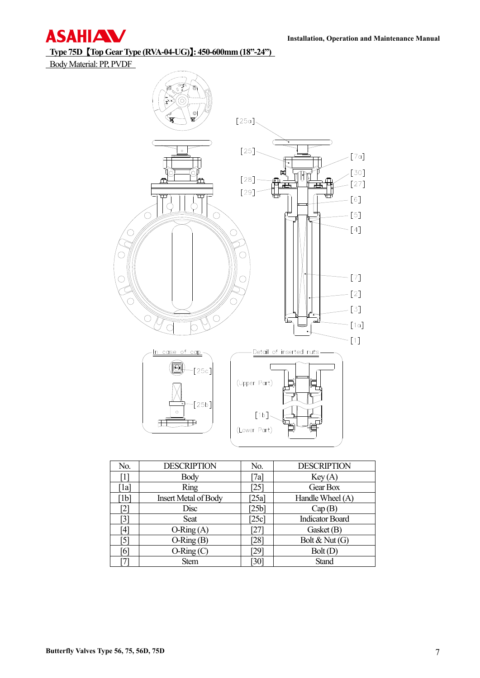

 **Type 75D** 䛆**Top Gear Type (RVA-04-UG)**䛇**: 450-600mm (18"-24")** 

Body Material: PP, PVDF



| No.              | <b>DESCRIPTION</b>          | No.       | <b>DESCRIPTION</b>     |
|------------------|-----------------------------|-----------|------------------------|
|                  | <b>Body</b>                 | 7a]       | Key(A)                 |
| la               | Ring                        | [25]      | Gear Box               |
| 1 <sub>b</sub>   | <b>Insert Metal of Body</b> | [25a]     | Handle Wheel (A)       |
| $\left 2\right $ | Disc                        | [25b]     | Cap(B)                 |
| [3]              | Seat                        | [ $25c$ ] | <b>Indicator Board</b> |
| [4]              | $O-Ring(A)$                 | [27]      | Gasket(B)              |
| [5]              | $O-Ring(B)$                 | [28]      | Bolt $\&$ Nut (G)      |
| [6]              | $O-Ring(C)$                 | [29]      | Bolt(D)                |
|                  | <b>Stem</b>                 | [30]      | <b>Stand</b>           |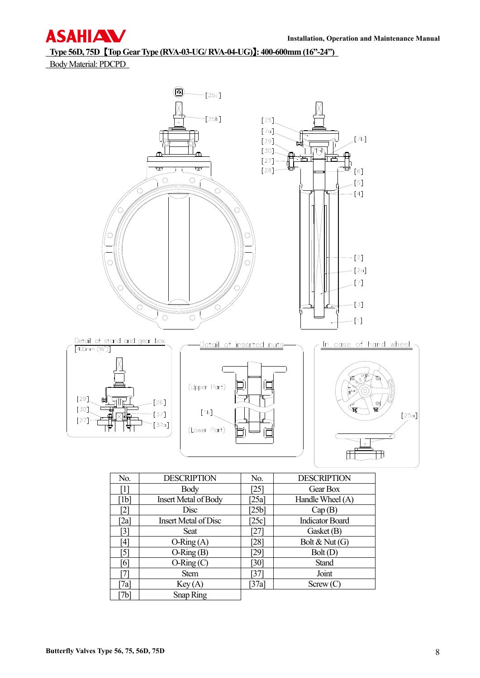

 **Type 56D, 75D Top Gear Type (RVA-03-UG/ RVA-04-UG) !: 400-600mm (16"-24")** 

Body Material: PDCPD



 $[7a]$  Key (A)  $[37a]$  Screw (C)

[7b] Snap Ring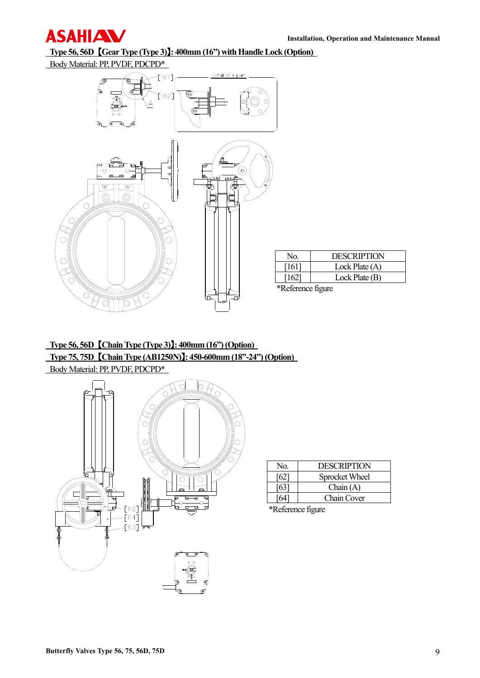

 **Type 56, 56D** *Gear Type (Type 3): 400mm (16") with Handle Lock (Option)* 

Body Material: PP, PVDF, PDCPD\*



### **Type 56, 56D** *Chain Type (Type 3)**x***: 400mm (16") (Option) Type 75, 75D [Chain Type (AB1250N)]: 450-600mm (18"-24") (Option)**

Body Material: PP, PVDF, PDCPD\*



| No. | <b>DESCRIPTION</b> |
|-----|--------------------|
| 62  | Sprocket Wheel     |
| 163 | Chain(A)           |
|     | Chain Cover        |

\*Reference figure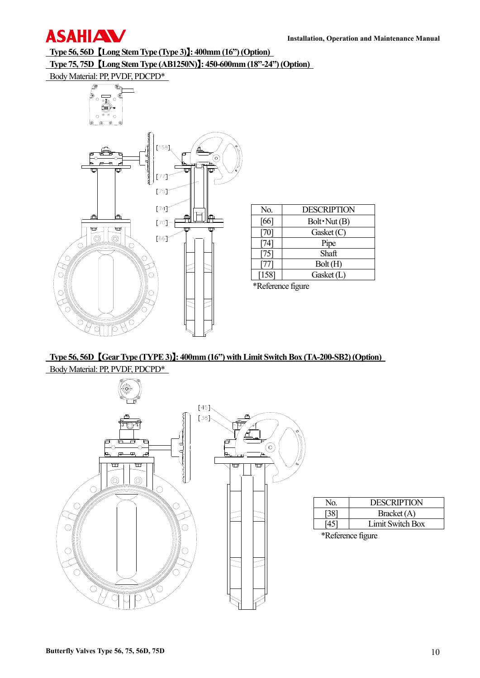

 **Type 56, 56D [Long Stem Type (Type 3)]: 400mm (16") (Option)** 

 **Type 75, 75D [Long Stem Type (AB1250N) : 450-600mm (18"-24") (Option)** 

Body Material: PP, PVDF, PDCPD\*



| No.  | <b>DESCRIPTION</b> |
|------|--------------------|
| [66] | Bolt Nut (B)       |
| 701  | Gasket (C)         |
| 74   | Pipe               |
| 751  | Shaft              |
|      | Bolt (H)           |
| 1581 | Gasket $(L)$       |

\*Reference figure

**Type 56, 56D**  *Gear Type (TYPE 3)**: 400mm (16") with Limit Switch Box (TA-200-SB2) (Option)* Body Material: PP, PVDF, PDCPD\*

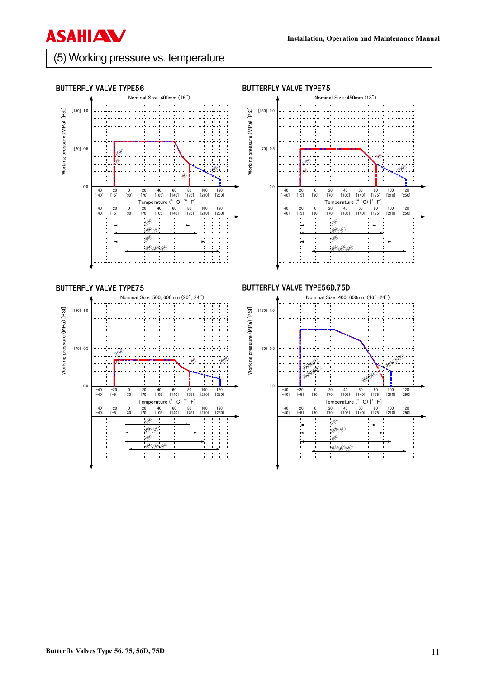## (5) Working pressure vs. temperature

**ASAHIAW**